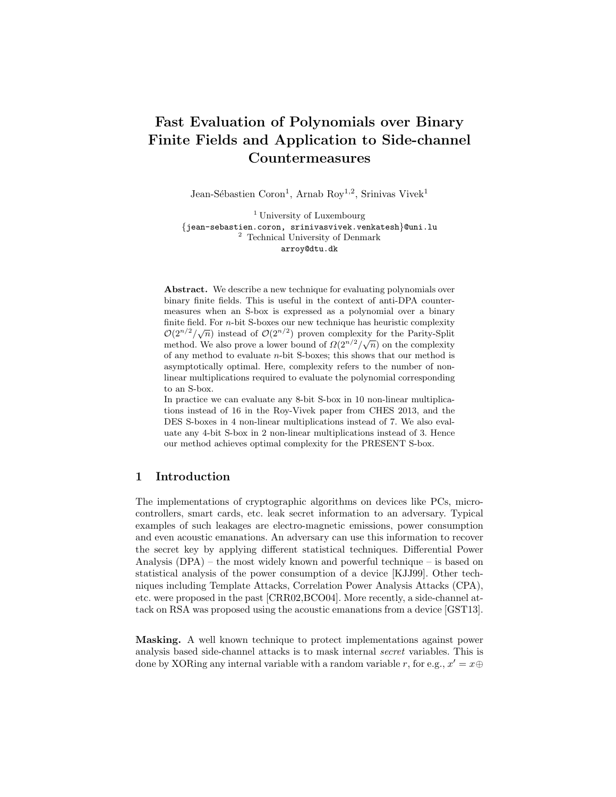# Fast Evaluation of Polynomials over Binary Finite Fields and Application to Side-channel Countermeasures

Jean-Sébastien Coron<sup>1</sup>, Arnab Roy<sup>1,2</sup>, Srinivas Vivek<sup>1</sup>

<sup>1</sup> University of Luxembourg {jean-sebastien.coron, srinivasvivek.venkatesh}@uni.lu <sup>2</sup> Technical University of Denmark arroy@dtu.dk

Abstract. We describe a new technique for evaluating polynomials over binary finite fields. This is useful in the context of anti-DPA countermeasures when an S-box is expressed as a polynomial over a binary finite field. For  $n$ -bit S-boxes our new technique has heuristic complexity finite field: For *n*-oft 5-boxes our flew technique has heuristic complexity  $\mathcal{O}(2^{n/2}/\sqrt{n})$  instead of  $\mathcal{O}(2^{n/2})$  proven complexity for the Parity-Split  $\mathcal{O}(2^{n}/\sqrt{n})$  instead of  $\mathcal{O}(2^{n})$  proven complexity for the randy-spin method. We also prove a lower bound of  $\Omega(2^{n/2}/\sqrt{n})$  on the complexity of any method to evaluate n-bit S-boxes; this shows that our method is asymptotically optimal. Here, complexity refers to the number of nonlinear multiplications required to evaluate the polynomial corresponding to an S-box.

In practice we can evaluate any 8-bit S-box in 10 non-linear multiplications instead of 16 in the Roy-Vivek paper from CHES 2013, and the DES S-boxes in 4 non-linear multiplications instead of 7. We also evaluate any 4-bit S-box in 2 non-linear multiplications instead of 3. Hence our method achieves optimal complexity for the PRESENT S-box.

# 1 Introduction

The implementations of cryptographic algorithms on devices like PCs, microcontrollers, smart cards, etc. leak secret information to an adversary. Typical examples of such leakages are electro-magnetic emissions, power consumption and even acoustic emanations. An adversary can use this information to recover the secret key by applying different statistical techniques. Differential Power Analysis (DPA) – the most widely known and powerful technique – is based on statistical analysis of the power consumption of a device [KJJ99]. Other techniques including Template Attacks, Correlation Power Analysis Attacks (CPA), etc. were proposed in the past [CRR02,BCO04]. More recently, a side-channel attack on RSA was proposed using the acoustic emanations from a device [GST13].

Masking. A well known technique to protect implementations against power analysis based side-channel attacks is to mask internal secret variables. This is done by XORing any internal variable with a random variable r, for e.g.,  $x' = x \oplus$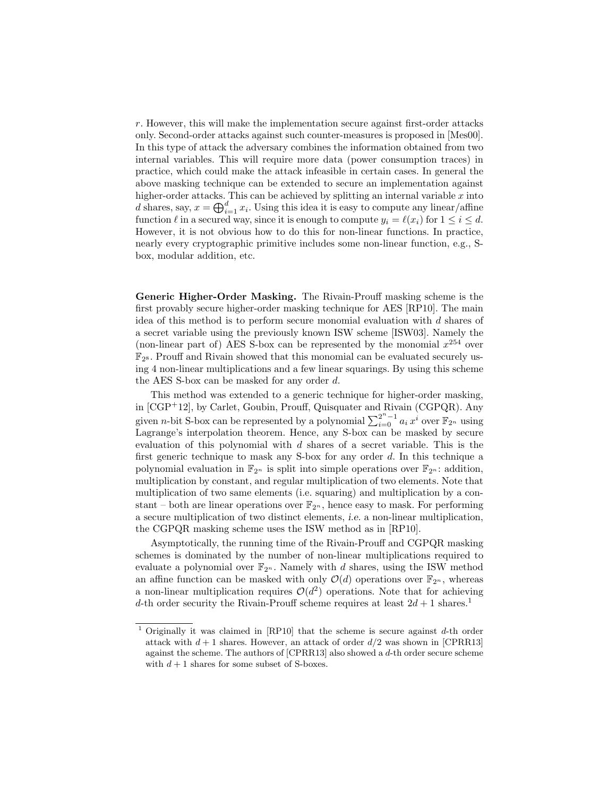r. However, this will make the implementation secure against first-order attacks only. Second-order attacks against such counter-measures is proposed in [Mes00]. In this type of attack the adversary combines the information obtained from two internal variables. This will require more data (power consumption traces) in practice, which could make the attack infeasible in certain cases. In general the above masking technique can be extended to secure an implementation against higher-order attacks. This can be achieved by splitting an internal variable  $x$  into d shares, say,  $x = \bigoplus_{i=1}^{d} x_i$ . Using this idea it is easy to compute any linear/affine function  $\ell$  in a secured way, since it is enough to compute  $y_i = \ell(x_i)$  for  $1 \leq i \leq d$ . However, it is not obvious how to do this for non-linear functions. In practice, nearly every cryptographic primitive includes some non-linear function, e.g., Sbox, modular addition, etc.

Generic Higher-Order Masking. The Rivain-Prouff masking scheme is the first provably secure higher-order masking technique for AES [RP10]. The main idea of this method is to perform secure monomial evaluation with d shares of a secret variable using the previously known ISW scheme [ISW03]. Namely the (non-linear part of) AES S-box can be represented by the monomial  $x^{254}$  over  $\mathbb{F}_{2^8}$ . Prouff and Rivain showed that this monomial can be evaluated securely using 4 non-linear multiplications and a few linear squarings. By using this scheme the AES S-box can be masked for any order d.

This method was extended to a generic technique for higher-order masking, in [CGP+12], by Carlet, Goubin, Prouff, Quisquater and Rivain (CGPQR). Any given *n*-bit S-box can be represented by a polynomial  $\sum_{i=0}^{2^n-1} a_i x^i$  over  $\mathbb{F}_{2^n}$  using Lagrange's interpolation theorem. Hence, any S-box can be masked by secure evaluation of this polynomial with  $d$  shares of a secret variable. This is the first generic technique to mask any S-box for any order d. In this technique a polynomial evaluation in  $\mathbb{F}_{2^n}$  is split into simple operations over  $\mathbb{F}_{2^n}$ : addition, multiplication by constant, and regular multiplication of two elements. Note that multiplication of two same elements (i.e. squaring) and multiplication by a constant – both are linear operations over  $\mathbb{F}_{2^n}$ , hence easy to mask. For performing a secure multiplication of two distinct elements, i.e. a non-linear multiplication, the CGPQR masking scheme uses the ISW method as in [RP10].

Asymptotically, the running time of the Rivain-Prouff and CGPQR masking schemes is dominated by the number of non-linear multiplications required to evaluate a polynomial over  $\mathbb{F}_{2^n}$ . Namely with d shares, using the ISW method an affine function can be masked with only  $\mathcal{O}(d)$  operations over  $\mathbb{F}_{2^n}$ , whereas a non-linear multiplication requires  $\mathcal{O}(d^2)$  operations. Note that for achieving d-th order security the Rivain-Prouff scheme requires at least  $2d + 1$  shares.<sup>1</sup>

<sup>&</sup>lt;sup>1</sup> Originally it was claimed in [RP10] that the scheme is secure against  $d$ -th order attack with  $d + 1$  shares. However, an attack of order  $d/2$  was shown in [CPRR13] against the scheme. The authors of  $[CPRR13]$  also showed a d-th order secure scheme with  $d+1$  shares for some subset of S-boxes.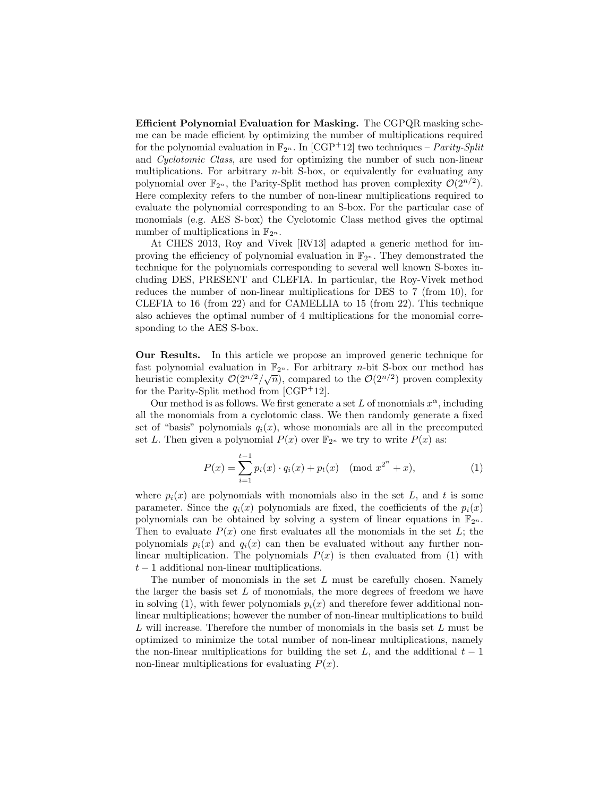Efficient Polynomial Evaluation for Masking. The CGPQR masking scheme can be made efficient by optimizing the number of multiplications required for the polynomial evaluation in  $\mathbb{F}_{2^n}$ . In [CGP+12] two techniques – *Parity-Split* and Cyclotomic Class, are used for optimizing the number of such non-linear multiplications. For arbitrary  $n$ -bit S-box, or equivalently for evaluating any polynomial over  $\mathbb{F}_{2^n}$ , the Parity-Split method has proven complexity  $\mathcal{O}(2^{n/2})$ . Here complexity refers to the number of non-linear multiplications required to evaluate the polynomial corresponding to an S-box. For the particular case of monomials (e.g. AES S-box) the Cyclotomic Class method gives the optimal number of multiplications in  $\mathbb{F}_{2^n}$ .

At CHES 2013, Roy and Vivek [RV13] adapted a generic method for improving the efficiency of polynomial evaluation in  $\mathbb{F}_{2^n}$ . They demonstrated the technique for the polynomials corresponding to several well known S-boxes including DES, PRESENT and CLEFIA. In particular, the Roy-Vivek method reduces the number of non-linear multiplications for DES to 7 (from 10), for CLEFIA to 16 (from 22) and for CAMELLIA to 15 (from 22). This technique also achieves the optimal number of 4 multiplications for the monomial corresponding to the AES S-box.

Our Results. In this article we propose an improved generic technique for fast polynomial evaluation in  $\mathbb{F}_{2^n}$ . For arbitrary *n*-bit S-box our method has heuristic complexity  $\mathcal{O}(2^{n/2}/\sqrt{n})$ , compared to the  $\mathcal{O}(2^{n/2})$  proven complexity for the Parity-Split method from [CGP+12].

Our method is as follows. We first generate a set L of monomials  $x^{\alpha}$ , including all the monomials from a cyclotomic class. We then randomly generate a fixed set of "basis" polynomials  $q_i(x)$ , whose monomials are all in the precomputed set L. Then given a polynomial  $P(x)$  over  $\mathbb{F}_{2^n}$  we try to write  $P(x)$  as:

$$
P(x) = \sum_{i=1}^{t-1} p_i(x) \cdot q_i(x) + p_t(x) \pmod{x^{2^n} + x},\tag{1}
$$

where  $p_i(x)$  are polynomials with monomials also in the set L, and t is some parameter. Since the  $q_i(x)$  polynomials are fixed, the coefficients of the  $p_i(x)$ polynomials can be obtained by solving a system of linear equations in  $\mathbb{F}_{2^n}$ . Then to evaluate  $P(x)$  one first evaluates all the monomials in the set L; the polynomials  $p_i(x)$  and  $q_i(x)$  can then be evaluated without any further nonlinear multiplication. The polynomials  $P(x)$  is then evaluated from (1) with  $t-1$  additional non-linear multiplications.

The number of monomials in the set  $L$  must be carefully chosen. Namely the larger the basis set  $L$  of monomials, the more degrees of freedom we have in solving (1), with fewer polynomials  $p_i(x)$  and therefore fewer additional nonlinear multiplications; however the number of non-linear multiplications to build  $L$  will increase. Therefore the number of monomials in the basis set  $L$  must be optimized to minimize the total number of non-linear multiplications, namely the non-linear multiplications for building the set L, and the additional  $t-1$ non-linear multiplications for evaluating  $P(x)$ .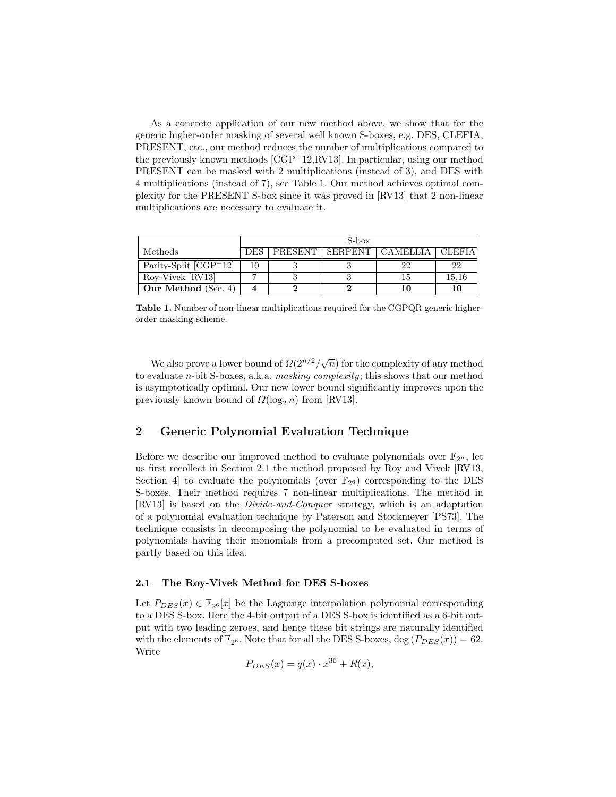As a concrete application of our new method above, we show that for the generic higher-order masking of several well known S-boxes, e.g. DES, CLEFIA, PRESENT, etc., our method reduces the number of multiplications compared to the previously known methods  $[CGP<sup>+</sup>12, RV13]$ . In particular, using our method PRESENT can be masked with 2 multiplications (instead of 3), and DES with 4 multiplications (instead of 7), see Table 1. Our method achieves optimal complexity for the PRESENT S-box since it was proved in [RV13] that 2 non-linear multiplications are necessary to evaluate it.

|                                      | S-box |         |         |  |                     |  |  |
|--------------------------------------|-------|---------|---------|--|---------------------|--|--|
| Methods                              | DES   | PRESENT | SERPENT |  | CLEFIA <sup>'</sup> |  |  |
| Parity-Split $\overline{ CGP^+12 }$  | 10    |         |         |  | 22                  |  |  |
| $\overline{\text{Roy-Vivek}}$ [RV13] |       |         |         |  | 15,16               |  |  |
| Our Method (Sec. 4)                  |       |         |         |  | $10\,$              |  |  |

Table 1. Number of non-linear multiplications required for the CGPQR generic higherorder masking scheme.

We also prove a lower bound of  $\Omega(2^{n/2}/\sqrt{n})$  for the complexity of any method to evaluate n-bit S-boxes, a.k.a. masking complexity; this shows that our method is asymptotically optimal. Our new lower bound significantly improves upon the previously known bound of  $\Omega(\log_2 n)$  from [RV13].

# 2 Generic Polynomial Evaluation Technique

Before we describe our improved method to evaluate polynomials over  $\mathbb{F}_{2^n}$ , let us first recollect in Section 2.1 the method proposed by Roy and Vivek [RV13, Section 4 to evaluate the polynomials (over  $\mathbb{F}_{2^6}$ ) corresponding to the DES S-boxes. Their method requires 7 non-linear multiplications. The method in [RV13] is based on the Divide-and-Conquer strategy, which is an adaptation of a polynomial evaluation technique by Paterson and Stockmeyer [PS73]. The technique consists in decomposing the polynomial to be evaluated in terms of polynomials having their monomials from a precomputed set. Our method is partly based on this idea.

#### 2.1 The Roy-Vivek Method for DES S-boxes

Let  $P_{DES}(x) \in \mathbb{F}_{2^6}[x]$  be the Lagrange interpolation polynomial corresponding to a DES S-box. Here the 4-bit output of a DES S-box is identified as a 6-bit output with two leading zeroes, and hence these bit strings are naturally identified with the elements of  $\mathbb{F}_{2^6}$ . Note that for all the DES S-boxes, deg  $(P_{DES}(x)) = 62$ . Write

$$
P_{DES}(x) = q(x) \cdot x^{36} + R(x),
$$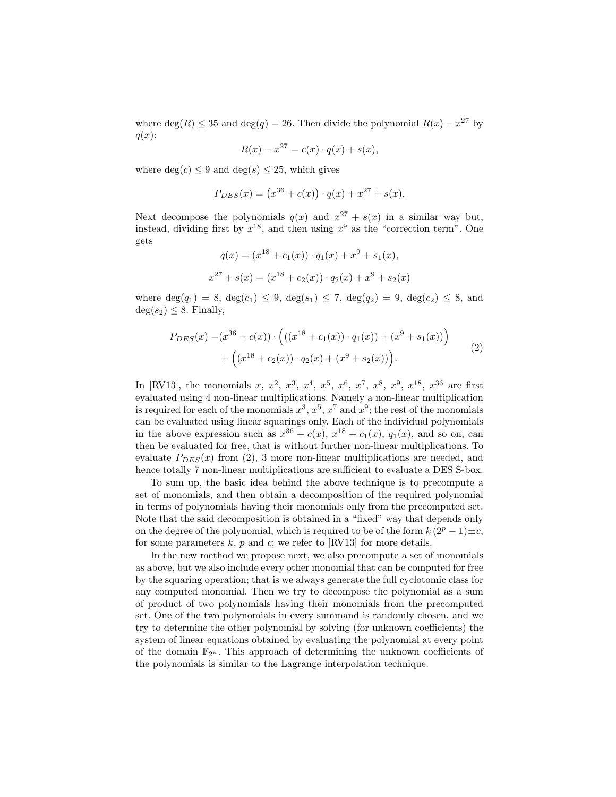where  $deg(R) \leq 35$  and  $deg(q) = 26$ . Then divide the polynomial  $R(x) - x^{27}$  by  $q(x)$ :

$$
R(x) - x^{27} = c(x) \cdot q(x) + s(x),
$$

where  $deg(c) \leq 9$  and  $deg(s) \leq 25$ , which gives

$$
P_{DES}(x) = (x^{36} + c(x)) \cdot q(x) + x^{27} + s(x).
$$

Next decompose the polynomials  $q(x)$  and  $x^{27} + s(x)$  in a similar way but, instead, dividing first by  $x^{18}$ , and then using  $x^9$  as the "correction term". One gets

$$
q(x) = (x^{18} + c_1(x)) \cdot q_1(x) + x^9 + s_1(x),
$$
  

$$
x^{27} + s(x) = (x^{18} + c_2(x)) \cdot q_2(x) + x^9 + s_2(x)
$$

where  $deg(q_1) = 8$ ,  $deg(c_1) \leq 9$ ,  $deg(s_1) \leq 7$ ,  $deg(q_2) = 9$ ,  $deg(c_2) \leq 8$ , and  $deg(s_2) \leq 8$ . Finally,

$$
P_{DES}(x) = (x^{36} + c(x)) \cdot \left( ((x^{18} + c_1(x)) \cdot q_1(x)) + (x^9 + s_1(x)) \right) + \left( (x^{18} + c_2(x)) \cdot q_2(x) + (x^9 + s_2(x)) \right).
$$
 (2)

In [RV13], the monomials x,  $x^2$ ,  $x^3$ ,  $x^4$ ,  $x^5$ ,  $x^6$ ,  $x^7$ ,  $x^8$ ,  $x^9$ ,  $x^{18}$ ,  $x^{36}$  are first evaluated using 4 non-linear multiplications. Namely a non-linear multiplication is required for each of the monomials  $x^3$ ,  $x^5$ ,  $x^7$  and  $x^9$ ; the rest of the monomials can be evaluated using linear squarings only. Each of the individual polynomials in the above expression such as  $x^{36} + c(x)$ ,  $x^{18} + c_1(x)$ ,  $q_1(x)$ , and so on, can then be evaluated for free, that is without further non-linear multiplications. To evaluate  $P_{DES}(x)$  from (2), 3 more non-linear multiplications are needed, and hence totally 7 non-linear multiplications are sufficient to evaluate a DES S-box.

To sum up, the basic idea behind the above technique is to precompute a set of monomials, and then obtain a decomposition of the required polynomial in terms of polynomials having their monomials only from the precomputed set. Note that the said decomposition is obtained in a "fixed" way that depends only on the degree of the polynomial, which is required to be of the form  $k(2^p-1)\pm c$ , for some parameters  $k$ ,  $p$  and  $c$ ; we refer to [RV13] for more details.

In the new method we propose next, we also precompute a set of monomials as above, but we also include every other monomial that can be computed for free by the squaring operation; that is we always generate the full cyclotomic class for any computed monomial. Then we try to decompose the polynomial as a sum of product of two polynomials having their monomials from the precomputed set. One of the two polynomials in every summand is randomly chosen, and we try to determine the other polynomial by solving (for unknown coefficients) the system of linear equations obtained by evaluating the polynomial at every point of the domain  $\mathbb{F}_{2^n}$ . This approach of determining the unknown coefficients of the polynomials is similar to the Lagrange interpolation technique.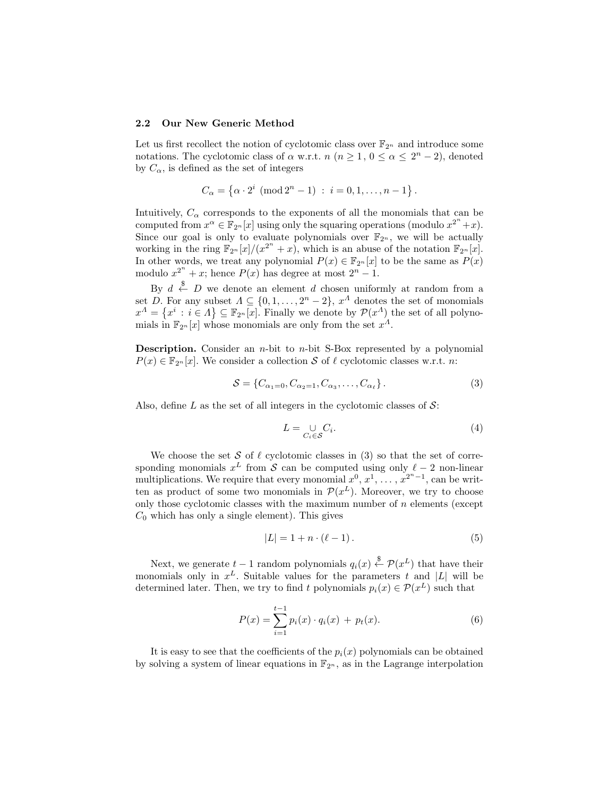#### 2.2 Our New Generic Method

Let us first recollect the notion of cyclotomic class over  $\mathbb{F}_{2^n}$  and introduce some notations. The cyclotomic class of  $\alpha$  w.r.t.  $n (n \geq 1, 0 \leq \alpha \leq 2^{n} - 2)$ , denoted by  $C_{\alpha}$ , is defined as the set of integers

$$
C_{\alpha} = \{ \alpha \cdot 2^{i} \pmod{2^{n} - 1} : i = 0, 1, ..., n - 1 \}.
$$

Intuitively,  $C_{\alpha}$  corresponds to the exponents of all the monomials that can be computed from  $x^{\alpha} \in \mathbb{F}_{2^n}[x]$  using only the squaring operations (modulo  $x^{2^n}+x$ ). Since our goal is only to evaluate polynomials over  $\mathbb{F}_{2^n}$ , we will be actually working in the ring  $\mathbb{F}_{2^n}[x]/(x^{2^n}+x)$ , which is an abuse of the notation  $\mathbb{F}_{2^n}[x]$ . In other words, we treat any polynomial  $P(x) \in \mathbb{F}_{2^n}[x]$  to be the same as  $P(x)$ modulo  $x^{2^n} + x$ ; hence  $P(x)$  has degree at most  $2^n - 1$ .

By  $d \stackrel{\$}{\leftarrow} D$  we denote an element  $d$  chosen uniformly at random from a set D. For any subset  $\Lambda \subseteq \{0, 1, \ldots, 2^n - 2\}, x^{\Lambda}$  denotes the set of monomials  $x^{\Lambda} = \{x^i : i \in \Lambda\} \subseteq \mathbb{F}_{2^n}[x]$ . Finally we denote by  $\mathcal{P}(x^{\Lambda})$  the set of all polynomials in  $\mathbb{F}_{2^n}[x]$  whose monomials are only from the set  $x^{\Lambda}$ .

**Description.** Consider an  $n$ -bit to  $n$ -bit S-Box represented by a polynomial  $P(x) \in \mathbb{F}_{2^n}[x]$ . We consider a collection S of  $\ell$  cyclotomic classes w.r.t. n:

$$
S = \{C_{\alpha_1=0}, C_{\alpha_2=1}, C_{\alpha_3}, \dots, C_{\alpha_\ell}\}.
$$
 (3)

Also, define L as the set of all integers in the cyclotomic classes of  $\mathcal{S}$ :

$$
L = \bigcup_{C_i \in \mathcal{S}} C_i. \tag{4}
$$

We choose the set S of  $\ell$  cyclotomic classes in (3) so that the set of corresponding monomials  $x^L$  from S can be computed using only  $\ell - 2$  non-linear multiplications. We require that every monomial  $x^0, x^1, \ldots, x^{2^n-1}$ , can be written as product of some two monomials in  $\mathcal{P}(x^L)$ . Moreover, we try to choose only those cyclotomic classes with the maximum number of  $n$  elements (except  $C_0$  which has only a single element). This gives

$$
|L| = 1 + n \cdot (\ell - 1). \tag{5}
$$

Next, we generate  $t-1$  random polynomials  $q_i(x) \stackrel{\$}{\leftarrow} \mathcal{P}(x^L)$  that have their monomials only in  $x^L$ . Suitable values for the parameters t and |L| will be determined later. Then, we try to find t polynomials  $p_i(x) \in \mathcal{P}(x^L)$  such that

$$
P(x) = \sum_{i=1}^{t-1} p_i(x) \cdot q_i(x) + p_t(x).
$$
 (6)

It is easy to see that the coefficients of the  $p_i(x)$  polynomials can be obtained by solving a system of linear equations in  $\mathbb{F}_{2^n}$ , as in the Lagrange interpolation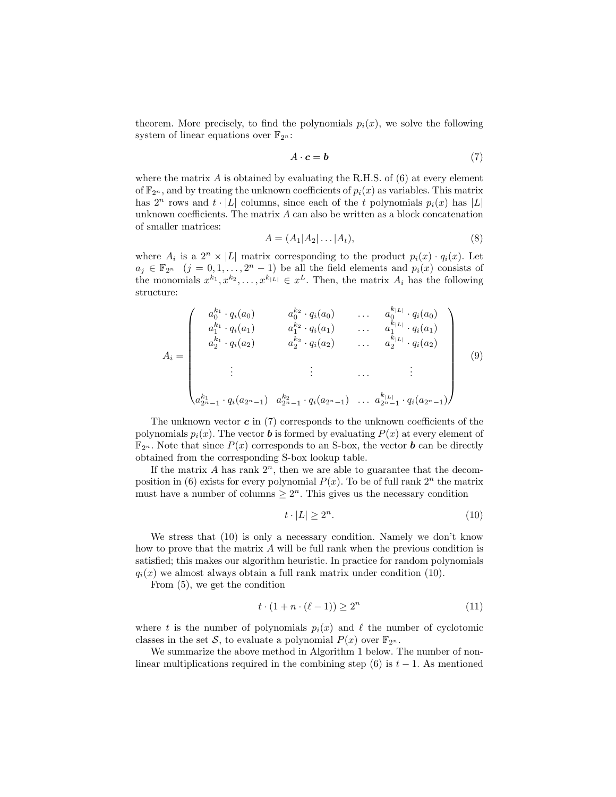theorem. More precisely, to find the polynomials  $p_i(x)$ , we solve the following system of linear equations over  $\mathbb{F}_{2^n}$ :

$$
A \cdot c = b \tag{7}
$$

where the matrix  $\vec{A}$  is obtained by evaluating the R.H.S. of (6) at every element of  $\mathbb{F}_{2^n}$ , and by treating the unknown coefficients of  $p_i(x)$  as variables. This matrix has  $2^n$  rows and  $t \cdot |L|$  columns, since each of the t polynomials  $p_i(x)$  has  $|L|$ unknown coefficients. The matrix A can also be written as a block concatenation of smaller matrices:

$$
A = (A_1 | A_2 | \dots | A_t), \tag{8}
$$

where  $A_i$  is a  $2^n \times |L|$  matrix corresponding to the product  $p_i(x) \cdot q_i(x)$ . Let  $a_j \in \mathbb{F}_{2^n}$   $(j = 0, 1, \ldots, 2^n - 1)$  be all the field elements and  $p_i(x)$  consists of the monomials  $x^{k_1}, x^{k_2}, \ldots, x^{k_{|L|}} \in x^L$ . Then, the matrix  $A_i$  has the following structure:

$$
A_{i} = \begin{pmatrix} a_{0}^{k_{1}} \cdot q_{i}(a_{0}) & a_{0}^{k_{2}} \cdot q_{i}(a_{0}) & \dots & a_{0}^{k_{|L|}} \cdot q_{i}(a_{0}) \\ a_{1}^{k_{1}} \cdot q_{i}(a_{1}) & a_{1}^{k_{2}} \cdot q_{i}(a_{1}) & \dots & a_{1}^{k_{|L|}} \cdot q_{i}(a_{1}) \\ a_{2}^{k_{1}} \cdot q_{i}(a_{2}) & a_{2}^{k_{2}} \cdot q_{i}(a_{2}) & \dots & a_{2}^{k_{|L|}} \cdot q_{i}(a_{2}) \\ \vdots & \vdots & \dots & \vdots \\ a_{2^{n}-1}^{k_{1}} \cdot q_{i}(a_{2^{n}-1}) & a_{2^{n}-1}^{k_{2}} \cdot q_{i}(a_{2^{n}-1}) & \dots & a_{2^{n}-1}^{k_{|L|}} \cdot q_{i}(a_{2^{n}-1}) \end{pmatrix}
$$
(9)

The unknown vector  $\boldsymbol{c}$  in (7) corresponds to the unknown coefficients of the polynomials  $p_i(x)$ . The vector **b** is formed by evaluating  $P(x)$  at every element of  $\mathbb{F}_{2^n}$ . Note that since  $P(x)$  corresponds to an S-box, the vector **b** can be directly obtained from the corresponding S-box lookup table.

If the matrix A has rank  $2^n$ , then we are able to guarantee that the decomposition in (6) exists for every polynomial  $P(x)$ . To be of full rank  $2^n$  the matrix must have a number of columns  $\geq 2^n$ . This gives us the necessary condition

$$
t \cdot |L| \ge 2^n. \tag{10}
$$

We stress that (10) is only a necessary condition. Namely we don't know how to prove that the matrix A will be full rank when the previous condition is satisfied; this makes our algorithm heuristic. In practice for random polynomials  $q_i(x)$  we almost always obtain a full rank matrix under condition (10).

From (5), we get the condition

$$
t \cdot (1 + n \cdot (\ell - 1)) \ge 2^n \tag{11}
$$

where t is the number of polynomials  $p_i(x)$  and  $\ell$  the number of cyclotomic classes in the set S, to evaluate a polynomial  $P(x)$  over  $\mathbb{F}_{2^n}$ .

We summarize the above method in Algorithm 1 below. The number of nonlinear multiplications required in the combining step (6) is  $t-1$ . As mentioned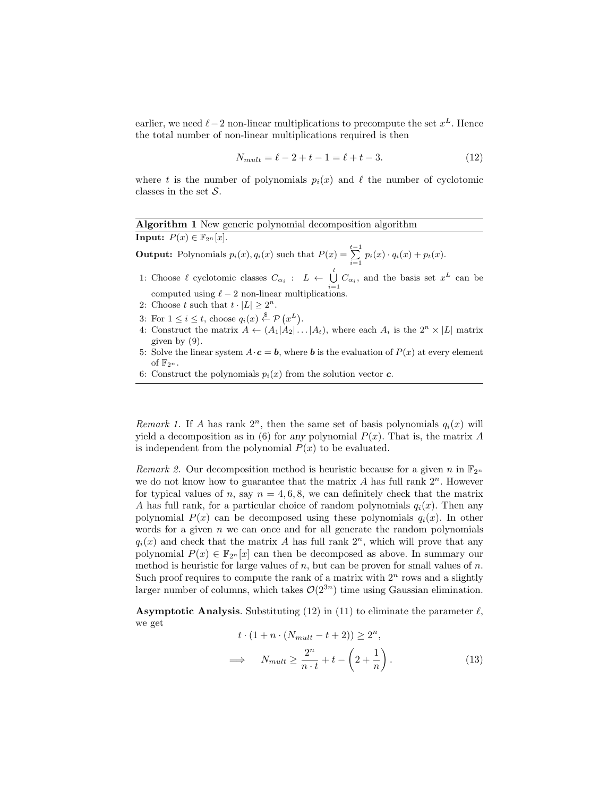earlier, we need  $\ell$  – 2 non-linear multiplications to precompute the set  $x^L$ . Hence the total number of non-linear multiplications required is then

$$
N_{mult} = \ell - 2 + t - 1 = \ell + t - 3. \tag{12}
$$

where t is the number of polynomials  $p_i(x)$  and  $\ell$  the number of cyclotomic classes in the set  $S$ .

# Algorithm 1 New generic polynomial decomposition algorithm

**Input:**  $P(x) \in \mathbb{F}_{2^n}[x]$ .

**Output:** Polynomials  $p_i(x)$ ,  $q_i(x)$  such that  $P(x) = \sum_{i=1}^{t-1} p_i(x) \cdot q_i(x) + p_t(x)$ .

- 1: Choose  $\ell$  cyclotomic classes  $C_{\alpha_i}$  :  $L \leftarrow \bigcup_{i=1}^l C_{\alpha_i}$ , and the basis set  $x^L$  can be computed using  $\ell - 2$  non-linear multiplications.
- 2: Choose t such that  $t \cdot |L| \geq 2^n$ .
- 3: For  $1 \leq i \leq t$ , choose  $q_i(x) \stackrel{\$}{\leftarrow} \mathcal{P}(x^L)$ .
- 4: Construct the matrix  $A \leftarrow (A_1 | A_2 | \dots | A_t)$ , where each  $A_i$  is the  $2^n \times |L|$  matrix given by (9).
- 5: Solve the linear system  $A \cdot c = b$ , where b is the evaluation of  $P(x)$  at every element of  $\mathbb{F}_{2^n}$ .
- 6: Construct the polynomials  $p_i(x)$  from the solution vector  $\boldsymbol{c}$ .

Remark 1. If A has rank  $2^n$ , then the same set of basis polynomials  $q_i(x)$  will yield a decomposition as in (6) for any polynomial  $P(x)$ . That is, the matrix A is independent from the polynomial  $P(x)$  to be evaluated.

Remark 2. Our decomposition method is heuristic because for a given n in  $\mathbb{F}_{2^n}$ we do not know how to guarantee that the matrix  $A$  has full rank  $2^n$ . However for typical values of n, say  $n = 4, 6, 8$ , we can definitely check that the matrix A has full rank, for a particular choice of random polynomials  $q_i(x)$ . Then any polynomial  $P(x)$  can be decomposed using these polynomials  $q_i(x)$ . In other words for a given  $n$  we can once and for all generate the random polynomials  $q_i(x)$  and check that the matrix A has full rank  $2^n$ , which will prove that any polynomial  $P(x) \in \mathbb{F}_{2^n}[x]$  can then be decomposed as above. In summary our method is heuristic for large values of n, but can be proven for small values of  $n$ . Such proof requires to compute the rank of a matrix with  $2<sup>n</sup>$  rows and a slightly larger number of columns, which takes  $\mathcal{O}(2^{3n})$  time using Gaussian elimination.

**Asymptotic Analysis.** Substituting (12) in (11) to eliminate the parameter  $\ell$ , we get

$$
t \cdot (1 + n \cdot (N_{mult} - t + 2)) \ge 2^n,
$$
  

$$
\implies N_{mult} \ge \frac{2^n}{n \cdot t} + t - \left(2 + \frac{1}{n}\right).
$$
 (13)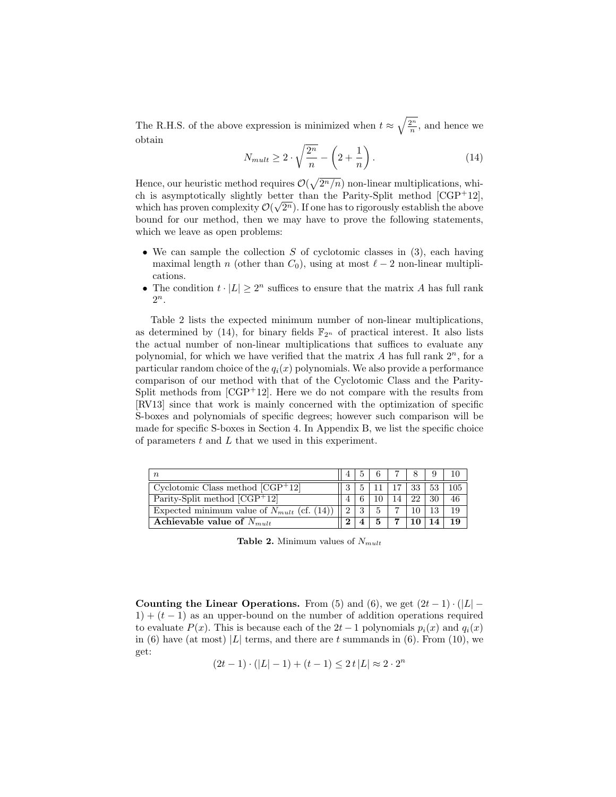The R.H.S. of the above expression is minimized when  $t \approx \sqrt{\frac{2^n}{n}}$ , and hence we obtain

$$
N_{mult} \ge 2 \cdot \sqrt{\frac{2^n}{n}} - \left(2 + \frac{1}{n}\right). \tag{14}
$$

Hence, our heuristic method requires  $\mathcal{O}(\sqrt{2^n/n})$  non-linear multiplications, which is asymptotically slightly better than the Parity-Split method  $[CGP+12]$ , which has proven complexity  $\mathcal{O}(\sqrt{2^n})$ . If one has to rigorously establish the above bound for our method, then we may have to prove the following statements, which we leave as open problems:

- We can sample the collection  $S$  of cyclotomic classes in (3), each having maximal length n (other than  $C_0$ ), using at most  $\ell - 2$  non-linear multiplications.
- The condition  $t \cdot |L| \geq 2^n$  suffices to ensure that the matrix A has full rank  $2^n$ .

Table 2 lists the expected minimum number of non-linear multiplications, as determined by (14), for binary fields  $\mathbb{F}_{2^n}$  of practical interest. It also lists the actual number of non-linear multiplications that suffices to evaluate any polynomial, for which we have verified that the matrix  $A$  has full rank  $2<sup>n</sup>$ , for a particular random choice of the  $q_i(x)$  polynomials. We also provide a performance comparison of our method with that of the Cyclotomic Class and the Parity-Split methods from  $[CGP+12]$ . Here we do not compare with the results from [RV13] since that work is mainly concerned with the optimization of specific S-boxes and polynomials of specific degrees; however such comparison will be made for specific S-boxes in Section 4. In Appendix B, we list the specific choice of parameters t and L that we used in this experiment.

| $\boldsymbol{n}$                                |   |   |   |    |    |
|-------------------------------------------------|---|---|---|----|----|
| Cyclotomic Class method $[CGP+12]$              |   |   |   | 33 |    |
| Parity-Split method $\sqrt{CGP+12}$             |   |   |   | າາ | 46 |
| Expected minimum value of $N_{mult}$ (cf. (14)) |   | 3 |   |    | 19 |
| Achievable value of $N_{mult}$                  | ി |   | 5 |    | 19 |

**Table 2.** Minimum values of  $N_{mult}$ 

Counting the Linear Operations. From (5) and (6), we get  $(2t-1) \cdot (|L| 1+(t-1)$  as an upper-bound on the number of addition operations required to evaluate  $P(x)$ . This is because each of the  $2t-1$  polynomials  $p_i(x)$  and  $q_i(x)$ in (6) have (at most)  $|L|$  terms, and there are t summands in (6). From (10), we get:

$$
(2t-1)\cdot(|L|-1) + (t-1) \le 2t |L| \approx 2 \cdot 2^n
$$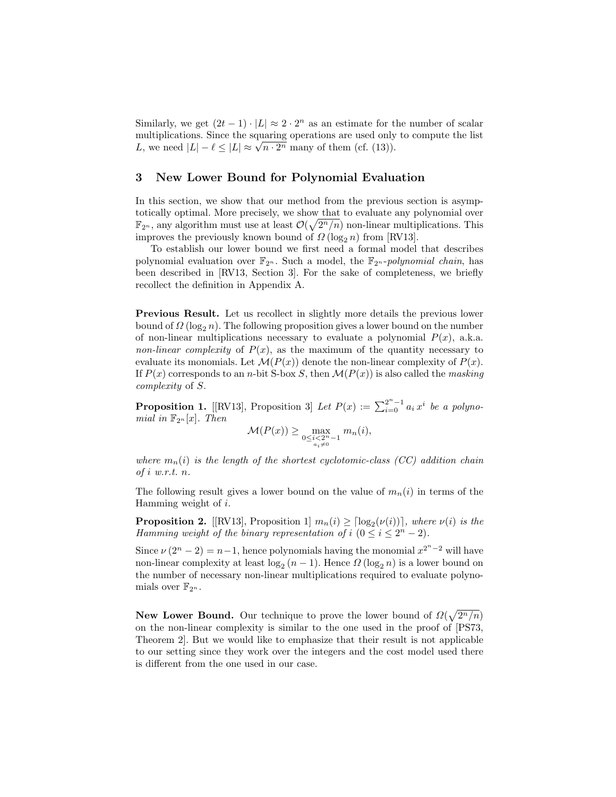Similarly, we get  $(2t-1) \cdot |L| \approx 2 \cdot 2^n$  as an estimate for the number of scalar multiplications. Since the squaring operations are used only to compute the list multiplications. Since the squaring operations are used only<br>  $L$ , we need  $|L| - \ell \leq |L| \approx \sqrt{n \cdot 2^n}$  many of them (cf. (13)).

## 3 New Lower Bound for Polynomial Evaluation

In this section, we show that our method from the previous section is asymptotically optimal. More precisely, we show that to evaluate any polynomial over  $\mathbb{F}_{2^n}$ , any algorithm must use at least  $\mathcal{O}(\sqrt{2^n/n})$  non-linear multiplications. This improves the previously known bound of  $\Omega(\log_2 n)$  from [RV13].

To establish our lower bound we first need a formal model that describes polynomial evaluation over  $\mathbb{F}_{2^n}$ . Such a model, the  $\mathbb{F}_{2^n}$ -polynomial chain, has been described in [RV13, Section 3]. For the sake of completeness, we briefly recollect the definition in Appendix A.

Previous Result. Let us recollect in slightly more details the previous lower bound of  $\Omega(\log_2 n)$ . The following proposition gives a lower bound on the number of non-linear multiplications necessary to evaluate a polynomial  $P(x)$ , a.k.a. non-linear complexity of  $P(x)$ , as the maximum of the quantity necessary to evaluate its monomials. Let  $\mathcal{M}(P(x))$  denote the non-linear complexity of  $P(x)$ . If  $P(x)$  corresponds to an n-bit S-box S, then  $\mathcal{M}(P(x))$  is also called the masking complexity of S.

**Proposition 1.** [[RV13], Proposition 3] Let  $P(x) := \sum_{i=0}^{2^n-1} a_i x^i$  be a polynomial in  $\mathbb{F}_{2^n}[x]$ . Then

$$
\mathcal{M}(P(x)) \ge \max_{\substack{0 \le i < 2^n - 1 \\ a_i \neq 0}} m_n(i),
$$

where  $m_n(i)$  is the length of the shortest cyclotomic-class (CC) addition chain of i w.r.t. n.

The following result gives a lower bound on the value of  $m_n(i)$  in terms of the Hamming weight of i.

**Proposition 2.** [[RV13], Proposition 1]  $m_n(i) \geq \lceil \log_2(\nu(i)) \rceil$ , where  $\nu(i)$  is the Hamming weight of the binary representation of  $i$   $(0 \le i \le 2<sup>n</sup> - 2)$ .

Since  $\nu(2^n - 2) = n - 1$ , hence polynomials having the monomial  $x^{2^n - 2}$  will have non-linear complexity at least  $\log_2(n-1)$ . Hence  $\Omega(\log_2 n)$  is a lower bound on the number of necessary non-linear multiplications required to evaluate polynomials over  $\mathbb{F}_{2^n}$ .

New Lower Bound. Our technique to prove the lower bound of  $\Omega(\sqrt{2^n/n})$ on the non-linear complexity is similar to the one used in the proof of [PS73, Theorem 2]. But we would like to emphasize that their result is not applicable to our setting since they work over the integers and the cost model used there is different from the one used in our case.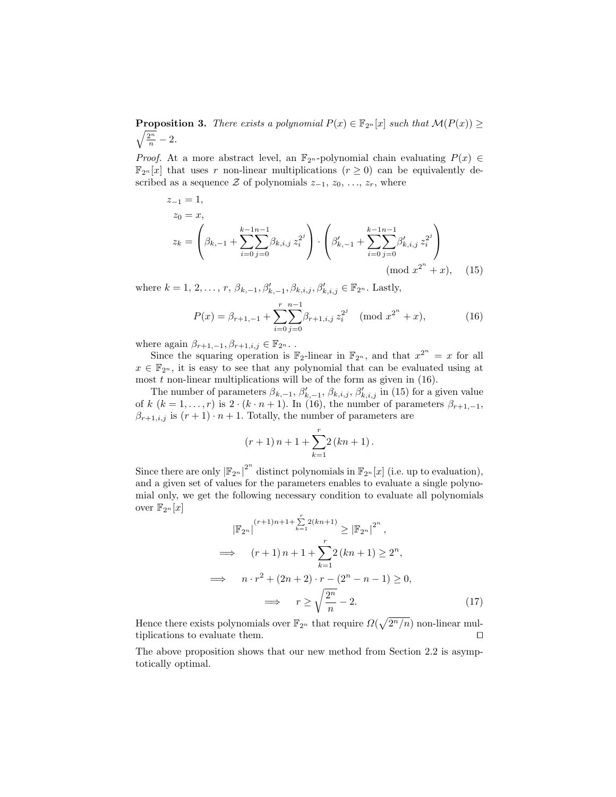$\sqrt{\frac{2^n}{n}}-2.$ **Proposition 3.** There exists a polynomial  $P(x) \in \mathbb{F}_{2^n}[x]$  such that  $\mathcal{M}(P(x)) \geq$ 

*Proof.* At a more abstract level, an  $\mathbb{F}_{2^n}$ -polynomial chain evaluating  $P(x) \in$  $\mathbb{F}_{2^n}[x]$  that uses r non-linear multiplications  $(r \geq 0)$  can be equivalently described as a sequence  $\mathcal Z$  of polynomials  $z_{-1}, z_0, \ldots, z_r$ , where

$$
z_{-1} = 1,
$$
  
\n
$$
z_0 = x,
$$
  
\n
$$
z_k = \left(\beta_{k,-1} + \sum_{i=0}^{k-1} \sum_{j=0}^{n-1} \beta_{k,i,j} z_i^{2^j}\right) \cdot \left(\beta'_{k,-1} + \sum_{i=0}^{k-1} \sum_{j=0}^{n-1} \beta'_{k,i,j} z_i^{2^j}\right)
$$
  
\n(mod  $x^{2^n} + x$ ), (15)

where  $k = 1, 2, ..., r$ ,  $\beta_{k, -1}, \beta'_{k, -1}, \beta_{k, i, j}, \beta'_{k, i, j} \in \mathbb{F}_{2^n}$ . Lastly,

$$
P(x) = \beta_{r+1,-1} + \sum_{i=0}^{r} \sum_{j=0}^{n-1} \beta_{r+1,i,j} z_i^{2^j} \pmod{x^{2^n} + x},\tag{16}
$$

where again  $\beta_{r+1,-1}, \beta_{r+1,i,j} \in \mathbb{F}_{2^n}$ .

Since the squaring operation is  $\mathbb{F}_2$ -linear in  $\mathbb{F}_{2^n}$ , and that  $x^{2^n} = x$  for all  $x \in \mathbb{F}_{2^n}$ , it is easy to see that any polynomial that can be evaluated using at most  $t$  non-linear multiplications will be of the form as given in  $(16)$ .

The number of parameters  $\beta_{k,-1}, \beta'_{k,-1}, \beta_{k,i,j}, \beta'_{k,i,j}$  in (15) for a given value of k  $(k = 1, \ldots, r)$  is  $2 \cdot (k \cdot n + 1)$ . In (16), the number of parameters  $\beta_{r+1,-1}$ ,  $\beta_{r+1,i,j}$  is  $(r+1) \cdot n+1$ . Totally, the number of parameters are

$$
(r+1)n + 1 + \sum_{k=1}^{r} 2(kn + 1).
$$

Since there are only  $\left|\mathbb{F}_{2^n}\right|^{2^n}$  distinct polynomials in  $\mathbb{F}_{2^n}[x]$  (i.e. up to evaluation), and a given set of values for the parameters enables to evaluate a single polynomial only, we get the following necessary condition to evaluate all polynomials over  $\mathbb{F}_{2^n}[x]$ 

$$
|\mathbb{F}_{2^n}|^{(r+1)n+1+\sum_{k=1}^r 2(kn+1)} \ge |\mathbb{F}_{2^n}|^{2^n},
$$
  
\n
$$
\implies (r+1)n+1+\sum_{k=1}^r 2(kn+1) \ge 2^n,
$$
  
\n
$$
\implies n \cdot r^2 + (2n+2) \cdot r - (2^n - n - 1) \ge 0,
$$
  
\n
$$
\implies r \ge \sqrt{\frac{2^n}{n}} - 2.
$$
 (17)

Hence there exists polynomials over  $\mathbb{F}_{2^n}$  that require  $\Omega(\sqrt{2^n/n})$  non-linear multiplications to evaluate them.  $\Box$ 

The above proposition shows that our new method from Section 2.2 is asymptotically optimal.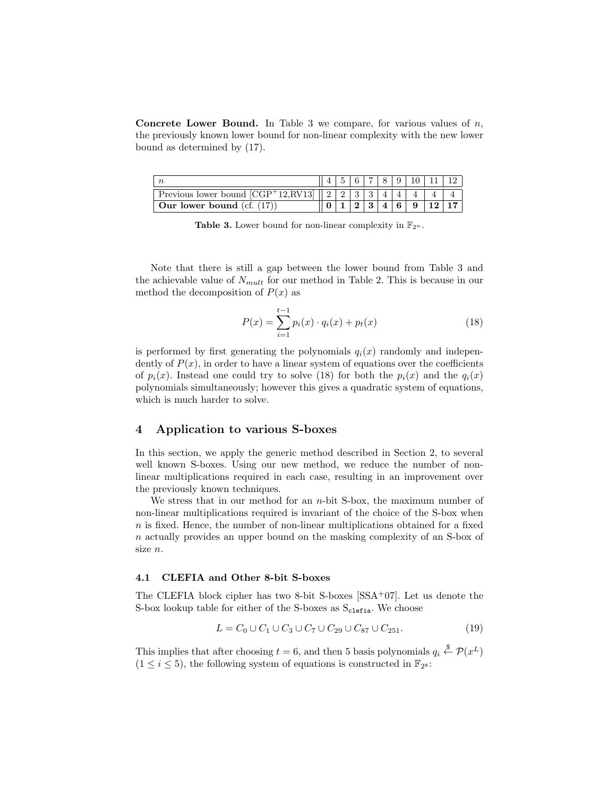**Concrete Lower Bound.** In Table 3 we compare, for various values of  $n$ , the previously known lower bound for non-linear complexity with the new lower bound as determined by (17).

| Previous lower bound $[CGP+12,RV13]$ | $\Omega$ |  |  |  |  |
|--------------------------------------|----------|--|--|--|--|
| Our lower bound $(cf. (17))$         |          |  |  |  |  |

Table 3. Lower bound for non-linear complexity in  $\mathbb{F}_{2^n}$ .

Note that there is still a gap between the lower bound from Table 3 and the achievable value of  $N_{mult}$  for our method in Table 2. This is because in our method the decomposition of  $P(x)$  as

$$
P(x) = \sum_{i=1}^{t-1} p_i(x) \cdot q_i(x) + p_t(x)
$$
\n(18)

is performed by first generating the polynomials  $q_i(x)$  randomly and independently of  $P(x)$ , in order to have a linear system of equations over the coefficients of  $p_i(x)$ . Instead one could try to solve (18) for both the  $p_i(x)$  and the  $q_i(x)$ polynomials simultaneously; however this gives a quadratic system of equations, which is much harder to solve.

## 4 Application to various S-boxes

In this section, we apply the generic method described in Section 2, to several well known S-boxes. Using our new method, we reduce the number of nonlinear multiplications required in each case, resulting in an improvement over the previously known techniques.

We stress that in our method for an  $n$ -bit S-box, the maximum number of non-linear multiplications required is invariant of the choice of the S-box when  $n$  is fixed. Hence, the number of non-linear multiplications obtained for a fixed n actually provides an upper bound on the masking complexity of an S-box of size n.

#### 4.1 CLEFIA and Other 8-bit S-boxes

The CLEFIA block cipher has two 8-bit S-boxes  $[SSA<sup>+</sup>07]$ . Let us denote the S-box lookup table for either of the S-boxes as  $S_{\text{clefia}}$ . We choose

$$
L = C_0 \cup C_1 \cup C_3 \cup C_7 \cup C_{29} \cup C_{87} \cup C_{251}.
$$
 (19)

This implies that after choosing  $t = 6$ , and then 5 basis polynomials  $q_i \stackrel{\$}{\leftarrow} \mathcal{P}(x^L)$  $(1 \leq i \leq 5)$ , the following system of equations is constructed in  $\mathbb{F}_{2}$ s: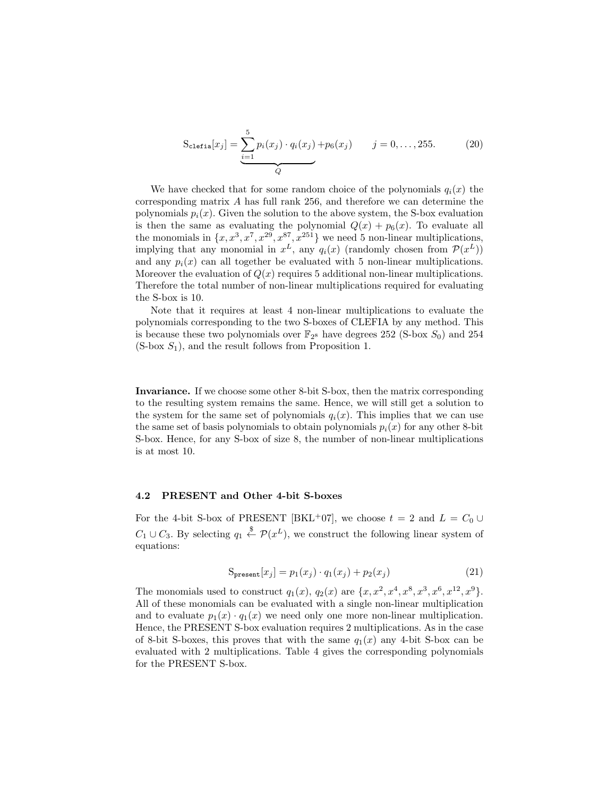$$
S_{\text{clefia}}[x_j] = \underbrace{\sum_{i=1}^{5} p_i(x_j) \cdot q_i(x_j)}_{Q} + p_6(x_j) \qquad j = 0, ..., 255. \tag{20}
$$

We have checked that for some random choice of the polynomials  $q_i(x)$  the corresponding matrix A has full rank 256, and therefore we can determine the polynomials  $p_i(x)$ . Given the solution to the above system, the S-box evaluation is then the same as evaluating the polynomial  $Q(x) + p_6(x)$ . To evaluate all the monomials in  $\{x, x^3, x^7, x^{29}, x^{87}, x^{251}\}$  we need 5 non-linear multiplications, implying that any monomial in  $x^L$ , any  $q_i(x)$  (randomly chosen from  $\mathcal{P}(x^L)$ ) and any  $p_i(x)$  can all together be evaluated with 5 non-linear multiplications. Moreover the evaluation of  $Q(x)$  requires 5 additional non-linear multiplications. Therefore the total number of non-linear multiplications required for evaluating the S-box is 10.

Note that it requires at least 4 non-linear multiplications to evaluate the polynomials corresponding to the two S-boxes of CLEFIA by any method. This is because these two polynomials over  $\mathbb{F}_{28}$  have degrees 252 (S-box  $S_0$ ) and 254  $(S-box S<sub>1</sub>)$ , and the result follows from Proposition 1.

Invariance. If we choose some other 8-bit S-box, then the matrix corresponding to the resulting system remains the same. Hence, we will still get a solution to the system for the same set of polynomials  $q_i(x)$ . This implies that we can use the same set of basis polynomials to obtain polynomials  $p_i(x)$  for any other 8-bit S-box. Hence, for any S-box of size 8, the number of non-linear multiplications is at most 10.

#### 4.2 PRESENT and Other 4-bit S-boxes

For the 4-bit S-box of PRESENT [BKL<sup>+</sup>07], we choose  $t = 2$  and  $L = C_0 \cup$  $C_1 \cup C_3$ . By selecting  $q_1 \stackrel{\$}{\leftarrow} \mathcal{P}(x^L)$ , we construct the following linear system of equations:

$$
S_{\text{present}}[x_j] = p_1(x_j) \cdot q_1(x_j) + p_2(x_j) \tag{21}
$$

The monomials used to construct  $q_1(x)$ ,  $q_2(x)$  are  $\{x, x^2, x^4, x^8, x^3, x^6, x^{12}, x^9\}$ . All of these monomials can be evaluated with a single non-linear multiplication and to evaluate  $p_1(x) \cdot q_1(x)$  we need only one more non-linear multiplication. Hence, the PRESENT S-box evaluation requires 2 multiplications. As in the case of 8-bit S-boxes, this proves that with the same  $q_1(x)$  any 4-bit S-box can be evaluated with 2 multiplications. Table 4 gives the corresponding polynomials for the PRESENT S-box.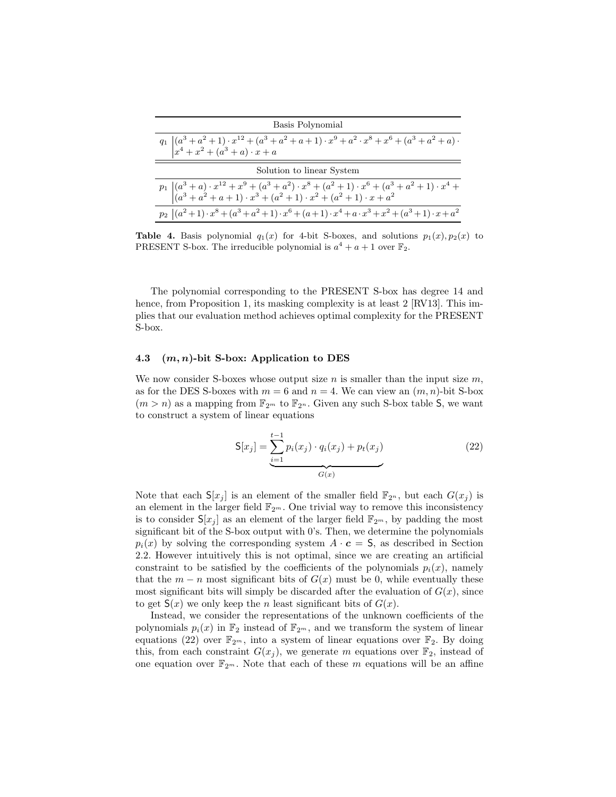| Basis Polynomial                                                                                                                                                                                                       |
|------------------------------------------------------------------------------------------------------------------------------------------------------------------------------------------------------------------------|
| $\displaystyle q_1\ \begin{vmatrix} (a^3 + a^2 + 1) \cdot x^{12} + (a^3 + a^2 + a + 1) \cdot x^9 + a^2 \cdot x^8 + x^6 + (a^3 + a^2 + a) \cdot \\ x^4 + x^2 + (a^3 + a) \cdot x + a \end{vmatrix}$                     |
| Solution to linear System                                                                                                                                                                                              |
| $p_1\ \begin{pmatrix} (a^3 + a)\cdot x^{12} + x^9 + (a^3 + a^2)\cdot x^8 + (a^2 + 1)\cdot x^6 + (a^3 + a^2 + 1)\cdot x^4 + (a^3 + a^2 + a + 1)\cdot x^3 + (a^2 + 1)\cdot x^2 + (a^2 + 1)\cdot x + a^2 \end{pmatrix} .$ |
| $p_2 (a^2+1)\cdot x^8 + (a^3+a^2+1)\cdot x^6 + (a+1)\cdot x^4 + a\cdot x^3 + x^2 + (a^3+1)\cdot x + a^2$                                                                                                               |

**Table 4.** Basis polynomial  $q_1(x)$  for 4-bit S-boxes, and solutions  $p_1(x), p_2(x)$  to PRESENT S-box. The irreducible polynomial is  $a^4 + a + 1$  over  $\mathbb{F}_2$ .

The polynomial corresponding to the PRESENT S-box has degree 14 and hence, from Proposition 1, its masking complexity is at least 2 [RV13]. This implies that our evaluation method achieves optimal complexity for the PRESENT S-box.

#### 4.3  $(m, n)$ -bit S-box: Application to DES

We now consider S-boxes whose output size n is smaller than the input size  $m$ , as for the DES S-boxes with  $m = 6$  and  $n = 4$ . We can view an  $(m, n)$ -bit S-box  $(m > n)$  as a mapping from  $\mathbb{F}_{2^m}$  to  $\mathbb{F}_{2^n}$ . Given any such S-box table S, we want to construct a system of linear equations

$$
S[x_j] = \underbrace{\sum_{i=1}^{t-1} p_i(x_j) \cdot q_i(x_j)}_{G(x)} + p_t(x_j)
$$
\n(22)

Note that each  $S[x_i]$  is an element of the smaller field  $\mathbb{F}_{2^n}$ , but each  $G(x_i)$  is an element in the larger field  $\mathbb{F}_{2^m}$ . One trivial way to remove this inconsistency is to consider  $S[x_j]$  as an element of the larger field  $\mathbb{F}_{2^m}$ , by padding the most significant bit of the S-box output with 0's. Then, we determine the polynomials  $p_i(x)$  by solving the corresponding system  $A \cdot c = S$ , as described in Section 2.2. However intuitively this is not optimal, since we are creating an artificial constraint to be satisfied by the coefficients of the polynomials  $p_i(x)$ , namely that the  $m - n$  most significant bits of  $G(x)$  must be 0, while eventually these most significant bits will simply be discarded after the evaluation of  $G(x)$ , since to get  $S(x)$  we only keep the *n* least significant bits of  $G(x)$ .

Instead, we consider the representations of the unknown coefficients of the polynomials  $p_i(x)$  in  $\mathbb{F}_2$  instead of  $\mathbb{F}_{2^m}$ , and we transform the system of linear equations (22) over  $\mathbb{F}_{2^m}$ , into a system of linear equations over  $\mathbb{F}_2$ . By doing this, from each constraint  $G(x_j)$ , we generate m equations over  $\mathbb{F}_2$ , instead of one equation over  $\mathbb{F}_{2^m}$ . Note that each of these m equations will be an affine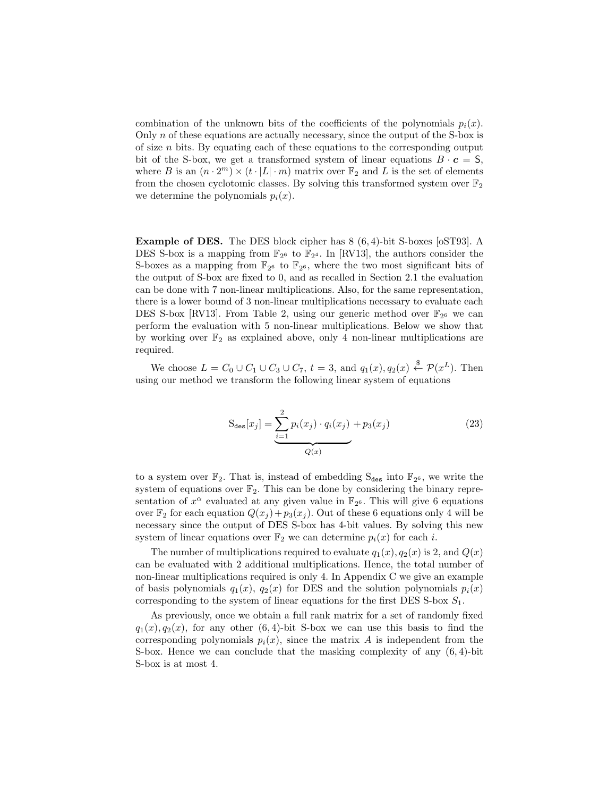combination of the unknown bits of the coefficients of the polynomials  $p_i(x)$ . Only  $n$  of these equations are actually necessary, since the output of the S-box is of size  $n$  bits. By equating each of these equations to the corresponding output bit of the S-box, we get a transformed system of linear equations  $B \cdot c = S$ , where B is an  $(n \cdot 2^m) \times (t \cdot |L| \cdot m)$  matrix over  $\mathbb{F}_2$  and L is the set of elements from the chosen cyclotomic classes. By solving this transformed system over  $\mathbb{F}_2$ we determine the polynomials  $p_i(x)$ .

Example of DES. The DES block cipher has 8 (6, 4)-bit S-boxes [oST93]. A DES S-box is a mapping from  $\mathbb{F}_{2^6}$  to  $\mathbb{F}_{2^4}$ . In [RV13], the authors consider the S-boxes as a mapping from  $\mathbb{F}_{2^6}$  to  $\mathbb{F}_{2^6}$ , where the two most significant bits of the output of S-box are fixed to 0, and as recalled in Section 2.1 the evaluation can be done with 7 non-linear multiplications. Also, for the same representation, there is a lower bound of 3 non-linear multiplications necessary to evaluate each DES S-box [RV13]. From Table 2, using our generic method over  $\mathbb{F}_{2^6}$  we can perform the evaluation with 5 non-linear multiplications. Below we show that by working over  $\mathbb{F}_2$  as explained above, only 4 non-linear multiplications are required.

We choose  $L = C_0 \cup C_1 \cup C_3 \cup C_7$ ,  $t = 3$ , and  $q_1(x), q_2(x) \stackrel{\$}{\leftarrow} \mathcal{P}(x^L)$ . Then using our method we transform the following linear system of equations

$$
S_{des}[x_j] = \underbrace{\sum_{i=1}^{2} p_i(x_j) \cdot q_i(x_j)}_{Q(x)} + p_3(x_j)
$$
 (23)

to a system over  $\mathbb{F}_2$ . That is, instead of embedding  $S_{\text{des}}$  into  $\mathbb{F}_{2^6}$ , we write the system of equations over  $\mathbb{F}_2$ . This can be done by considering the binary representation of  $x^{\alpha}$  evaluated at any given value in  $\mathbb{F}_{2^6}$ . This will give 6 equations over  $\mathbb{F}_2$  for each equation  $Q(x_j) + p_3(x_j)$ . Out of these 6 equations only 4 will be necessary since the output of DES S-box has 4-bit values. By solving this new system of linear equations over  $\mathbb{F}_2$  we can determine  $p_i(x)$  for each i.

The number of multiplications required to evaluate  $q_1(x), q_2(x)$  is 2, and  $Q(x)$ can be evaluated with 2 additional multiplications. Hence, the total number of non-linear multiplications required is only 4. In Appendix C we give an example of basis polynomials  $q_1(x)$ ,  $q_2(x)$  for DES and the solution polynomials  $p_i(x)$ corresponding to the system of linear equations for the first DES S-box  $S_1$ .

As previously, once we obtain a full rank matrix for a set of randomly fixed  $q_1(x), q_2(x)$ , for any other (6, 4)-bit S-box we can use this basis to find the corresponding polynomials  $p_i(x)$ , since the matrix A is independent from the S-box. Hence we can conclude that the masking complexity of any (6, 4)-bit S-box is at most 4.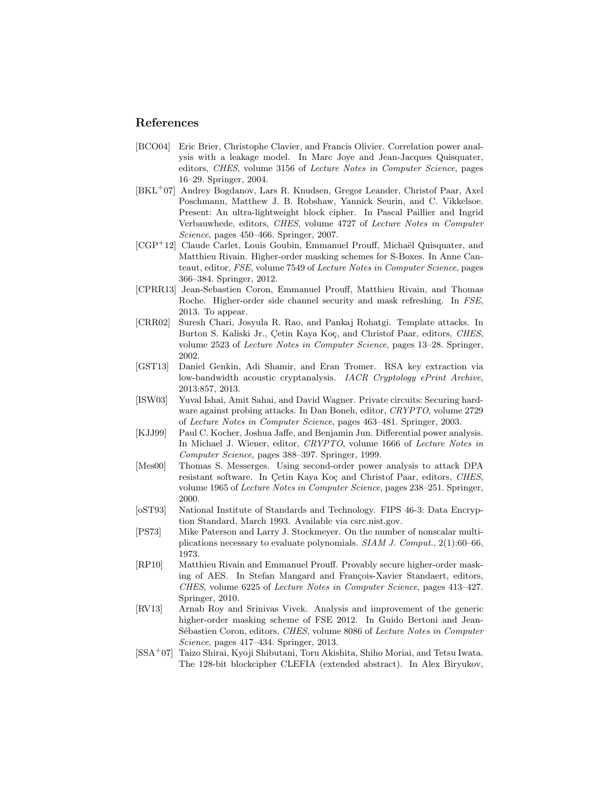### References

- [BCO04] Eric Brier, Christophe Clavier, and Francis Olivier. Correlation power analysis with a leakage model. In Marc Joye and Jean-Jacques Quisquater, editors, CHES, volume 3156 of Lecture Notes in Computer Science, pages 16–29. Springer, 2004.
- [BKL<sup>+</sup>07] Andrey Bogdanov, Lars R. Knudsen, Gregor Leander, Christof Paar, Axel Poschmann, Matthew J. B. Robshaw, Yannick Seurin, and C. Vikkelsoe. Present: An ultra-lightweight block cipher. In Pascal Paillier and Ingrid Verbauwhede, editors, CHES, volume 4727 of Lecture Notes in Computer Science, pages 450–466. Springer, 2007.
- [CGP<sup>+</sup>12] Claude Carlet, Louis Goubin, Emmanuel Prouff, Michaël Quisquater, and Matthieu Rivain. Higher-order masking schemes for S-Boxes. In Anne Canteaut, editor, FSE, volume 7549 of Lecture Notes in Computer Science, pages 366–384. Springer, 2012.
- [CPRR13] Jean-Sebastien Coron, Emmanuel Prouff, Matthieu Rivain, and Thomas Roche. Higher-order side channel security and mask refreshing. In FSE, 2013. To appear.
- [CRR02] Suresh Chari, Josyula R. Rao, and Pankaj Rohatgi. Template attacks. In Burton S. Kaliski Jr., Cetin Kaya Koç, and Christof Paar, editors, CHES, volume 2523 of Lecture Notes in Computer Science, pages 13–28. Springer, 2002.
- [GST13] Daniel Genkin, Adi Shamir, and Eran Tromer. RSA key extraction via low-bandwidth acoustic cryptanalysis. IACR Cryptology ePrint Archive, 2013:857, 2013.
- [ISW03] Yuval Ishai, Amit Sahai, and David Wagner. Private circuits: Securing hardware against probing attacks. In Dan Boneh, editor, CRYPTO, volume 2729 of Lecture Notes in Computer Science, pages 463–481. Springer, 2003.
- [KJJ99] Paul C. Kocher, Joshua Jaffe, and Benjamin Jun. Differential power analysis. In Michael J. Wiener, editor, CRYPTO, volume 1666 of Lecture Notes in Computer Science, pages 388–397. Springer, 1999.
- [Mes00] Thomas S. Messerges. Using second-order power analysis to attack DPA resistant software. In Çetin Kaya Koç and Christof Paar, editors, CHES, volume 1965 of Lecture Notes in Computer Science, pages 238–251. Springer, 2000.
- [oST93] National Institute of Standards and Technology. FIPS 46-3: Data Encryption Standard, March 1993. Available via csrc.nist.gov.
- [PS73] Mike Paterson and Larry J. Stockmeyer. On the number of nonscalar multiplications necessary to evaluate polynomials. SIAM J. Comput., 2(1):60–66, 1973.
- [RP10] Matthieu Rivain and Emmanuel Prouff. Provably secure higher-order masking of AES. In Stefan Mangard and François-Xavier Standaert, editors, CHES, volume 6225 of Lecture Notes in Computer Science, pages 413–427. Springer, 2010.
- [RV13] Arnab Roy and Srinivas Vivek. Analysis and improvement of the generic higher-order masking scheme of FSE 2012. In Guido Bertoni and Jean-Sébastien Coron, editors, CHES, volume 8086 of Lecture Notes in Computer Science, pages 417–434. Springer, 2013.
- [SSA<sup>+</sup>07] Taizo Shirai, Kyoji Shibutani, Toru Akishita, Shiho Moriai, and Tetsu Iwata. The 128-bit blockcipher CLEFIA (extended abstract). In Alex Biryukov,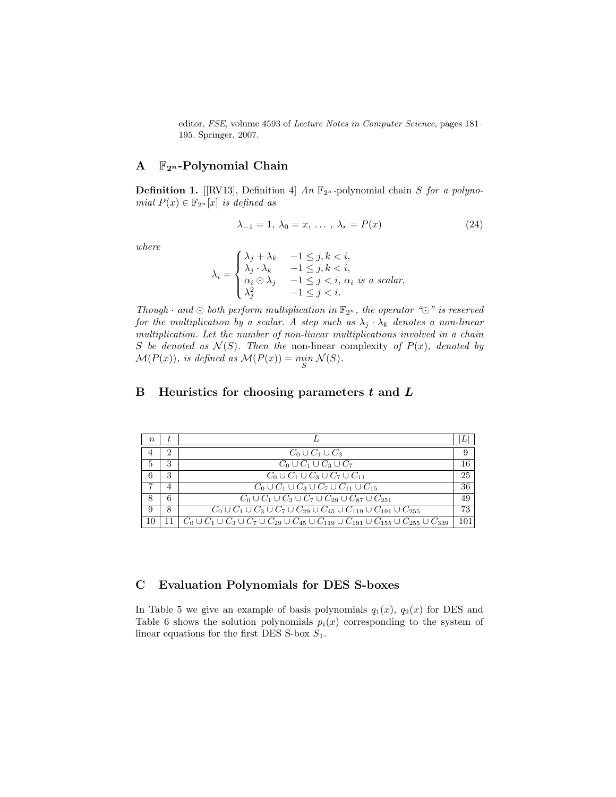editor, FSE, volume 4593 of Lecture Notes in Computer Science, pages 181– 195. Springer, 2007.

# A  $\mathbb{F}_{2^n}$ -Polynomial Chain

**Definition 1.** [[RV13], Definition 4] An  $\mathbb{F}_{2^n}$ -polynomial chain S for a polynomial  $P(x) \in \mathbb{F}_{2^n}[x]$  is defined as

$$
\lambda_{-1} = 1, \lambda_0 = x, \dots, \lambda_r = P(x) \tag{24}
$$

where

$$
\lambda_i = \begin{cases}\n\lambda_j + \lambda_k & -1 \leq j, k < i, \\
\lambda_j \cdot \lambda_k & -1 \leq j, k < i, \\
\alpha_i \odot \lambda_j & -1 \leq j < i, \ \alpha_i \ \text{is a scalar}, \\
\lambda_j^2 & -1 \leq j < i.\n\end{cases}
$$

Though  $\cdot$  and  $\odot$  both perform multiplication in  $\mathbb{F}_{2^n}$ , the operator " $\odot$ " is reserved for the multiplication by a scalar. A step such as  $\lambda_j \cdot \lambda_k$  denotes a non-linear multiplication. Let the number of non-linear multiplications involved in a chain S be denoted as  $\mathcal{N}(S)$ . Then the non-linear complexity of  $P(x)$ , denoted by  $\mathcal{M}(P(x))$ , is defined as  $\mathcal{M}(P(x)) = \min_{S} \mathcal{N}(S)$ .

# B Heuristics for choosing parameters  $t$  and  $L$

| $n_{\rm c}$ |   |                                                                                                                 |     |
|-------------|---|-----------------------------------------------------------------------------------------------------------------|-----|
|             | 2 | $C_0\cup C_1\cup C_3$                                                                                           | 9   |
| 5           | 3 | $C_0\cup C_1\cup C_3\cup C_7$                                                                                   | 16  |
| 6           | 3 | $C_0\cup C_1\cup C_3\cup C_7\cup C_{11}$                                                                        | 25  |
|             |   | $C_0 \cup C_1 \cup C_3 \cup C_7 \cup C_{11} \cup C_{15}$                                                        | 36  |
| 8           | 6 | $C_0 \cup C_1 \cup C_3 \cup C_7 \cup C_{29} \cup C_{87} \cup C_{251}$                                           | 49  |
| 9           | 8 | $C_0 \cup C_1 \cup C_3 \cup C_7 \cup C_{29} \cup C_{45} \cup C_{119} \cup C_{191} \cup C_{255}$                 | 73  |
| 10          |   | $C_0\cup C_1\cup C_3\cup C_7\cup C_{29}\cup C_{45}\cup C_{119}\cup C_{191}\cup C_{155}\cup C_{255}\cup C_{339}$ | 101 |

### C Evaluation Polynomials for DES S-boxes

In Table 5 we give an example of basis polynomials  $q_1(x)$ ,  $q_2(x)$  for DES and Table 6 shows the solution polynomials  $p_i(x)$  corresponding to the system of linear equations for the first DES S-box  $S_1$ .